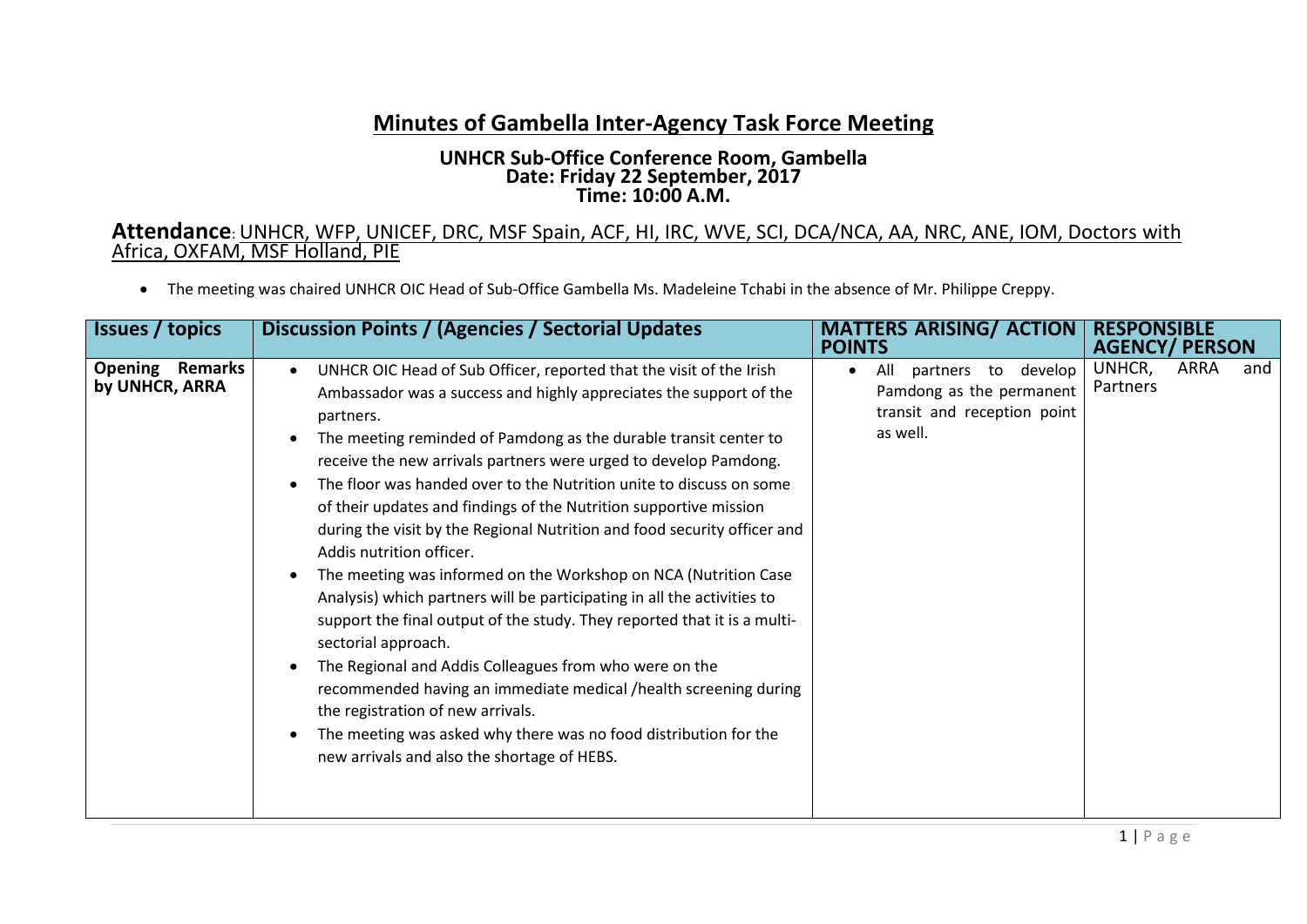## **Minutes of Gambella Inter-Agency Task Force Meeting**

## **UNHCR Sub-Office Conference Room, Gambella Date: Friday 22 September, 2017 Time: 10:00 A.M.**

## **Attendance**: UNHCR, WFP, UNICEF, DRC, MSF Spain, ACF, HI, IRC, WVE, SCI, DCA/NCA, AA, NRC, ANE, IOM, Doctors with Africa, OXFAM, MSF Holland, PIE

The meeting was chaired UNHCR OIC Head of Sub-Office Gambella Ms. Madeleine Tchabi in the absence of Mr. Philippe Creppy.

| <b>Issues</b> / topics               | Discussion Points / (Agencies / Sectorial Updates                                                                                                                                                                                                                                                                                                                                                                                                                                                                                                                                                                                                                                                                                                                                                                                                                                                                                                                                                                                                                                                      | <b>MATTERS ARISING/ ACTION</b><br><b>POINTS</b>                                                                   | <b>RESPONSIBLE</b><br><b>AGENCY/ PERSON</b> |
|--------------------------------------|--------------------------------------------------------------------------------------------------------------------------------------------------------------------------------------------------------------------------------------------------------------------------------------------------------------------------------------------------------------------------------------------------------------------------------------------------------------------------------------------------------------------------------------------------------------------------------------------------------------------------------------------------------------------------------------------------------------------------------------------------------------------------------------------------------------------------------------------------------------------------------------------------------------------------------------------------------------------------------------------------------------------------------------------------------------------------------------------------------|-------------------------------------------------------------------------------------------------------------------|---------------------------------------------|
| Opening<br>Remarks<br>by UNHCR, ARRA | UNHCR OIC Head of Sub Officer, reported that the visit of the Irish<br>$\bullet$<br>Ambassador was a success and highly appreciates the support of the<br>partners.<br>The meeting reminded of Pamdong as the durable transit center to<br>receive the new arrivals partners were urged to develop Pamdong.<br>The floor was handed over to the Nutrition unite to discuss on some<br>of their updates and findings of the Nutrition supportive mission<br>during the visit by the Regional Nutrition and food security officer and<br>Addis nutrition officer.<br>The meeting was informed on the Workshop on NCA (Nutrition Case<br>Analysis) which partners will be participating in all the activities to<br>support the final output of the study. They reported that it is a multi-<br>sectorial approach.<br>The Regional and Addis Colleagues from who were on the<br>recommended having an immediate medical /health screening during<br>the registration of new arrivals.<br>The meeting was asked why there was no food distribution for the<br>new arrivals and also the shortage of HEBS. | develop<br>All<br>partners to<br>$\bullet$<br>Pamdong as the permanent<br>transit and reception point<br>as well. | UNHCR,<br>ARRA<br>and<br>Partners           |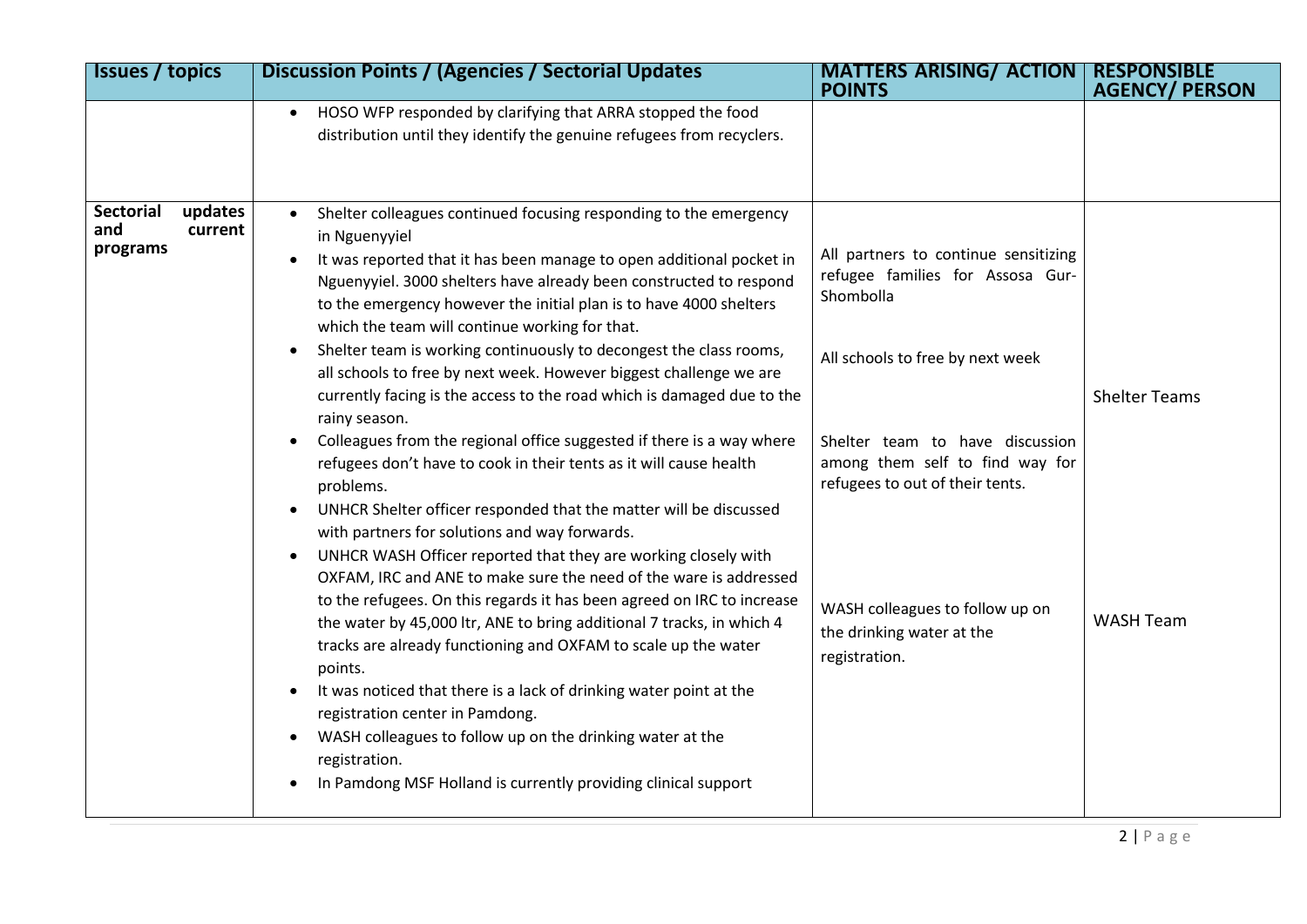| <b>Issues / topics</b>                             | <b>Discussion Points / (Agencies / Sectorial Updates</b>                                                                                                                                                                                                                                                                                                                                                                                                                                                                                                                                                                                                                                                                                                                                                                                                                                                                                                                                                                                                                                                                                                                                                                                                                                                                                                                                                                                                                                                                                                              | <b>MATTERS ARISING/ ACTION</b><br><b>POINTS</b>                                                                                                                                                                                                                                                                     | <b>RESPONSIBLE</b><br><b>AGENCY/ PERSON</b> |
|----------------------------------------------------|-----------------------------------------------------------------------------------------------------------------------------------------------------------------------------------------------------------------------------------------------------------------------------------------------------------------------------------------------------------------------------------------------------------------------------------------------------------------------------------------------------------------------------------------------------------------------------------------------------------------------------------------------------------------------------------------------------------------------------------------------------------------------------------------------------------------------------------------------------------------------------------------------------------------------------------------------------------------------------------------------------------------------------------------------------------------------------------------------------------------------------------------------------------------------------------------------------------------------------------------------------------------------------------------------------------------------------------------------------------------------------------------------------------------------------------------------------------------------------------------------------------------------------------------------------------------------|---------------------------------------------------------------------------------------------------------------------------------------------------------------------------------------------------------------------------------------------------------------------------------------------------------------------|---------------------------------------------|
|                                                    | HOSO WFP responded by clarifying that ARRA stopped the food<br>distribution until they identify the genuine refugees from recyclers.                                                                                                                                                                                                                                                                                                                                                                                                                                                                                                                                                                                                                                                                                                                                                                                                                                                                                                                                                                                                                                                                                                                                                                                                                                                                                                                                                                                                                                  |                                                                                                                                                                                                                                                                                                                     |                                             |
| updates<br>Sectorial<br>and<br>current<br>programs | Shelter colleagues continued focusing responding to the emergency<br>$\bullet$<br>in Nguenyyiel<br>It was reported that it has been manage to open additional pocket in<br>Nguenyyiel. 3000 shelters have already been constructed to respond<br>to the emergency however the initial plan is to have 4000 shelters<br>which the team will continue working for that.<br>Shelter team is working continuously to decongest the class rooms,<br>$\bullet$<br>all schools to free by next week. However biggest challenge we are<br>currently facing is the access to the road which is damaged due to the<br>rainy season.<br>Colleagues from the regional office suggested if there is a way where<br>$\bullet$<br>refugees don't have to cook in their tents as it will cause health<br>problems.<br>UNHCR Shelter officer responded that the matter will be discussed<br>with partners for solutions and way forwards.<br>UNHCR WASH Officer reported that they are working closely with<br>OXFAM, IRC and ANE to make sure the need of the ware is addressed<br>to the refugees. On this regards it has been agreed on IRC to increase<br>the water by 45,000 ltr, ANE to bring additional 7 tracks, in which 4<br>tracks are already functioning and OXFAM to scale up the water<br>points.<br>It was noticed that there is a lack of drinking water point at the<br>registration center in Pamdong.<br>WASH colleagues to follow up on the drinking water at the<br>$\bullet$<br>registration.<br>In Pamdong MSF Holland is currently providing clinical support | All partners to continue sensitizing<br>refugee families for Assosa Gur-<br>Shombolla<br>All schools to free by next week<br>Shelter team to have discussion<br>among them self to find way for<br>refugees to out of their tents.<br>WASH colleagues to follow up on<br>the drinking water at the<br>registration. | <b>Shelter Teams</b><br><b>WASH Team</b>    |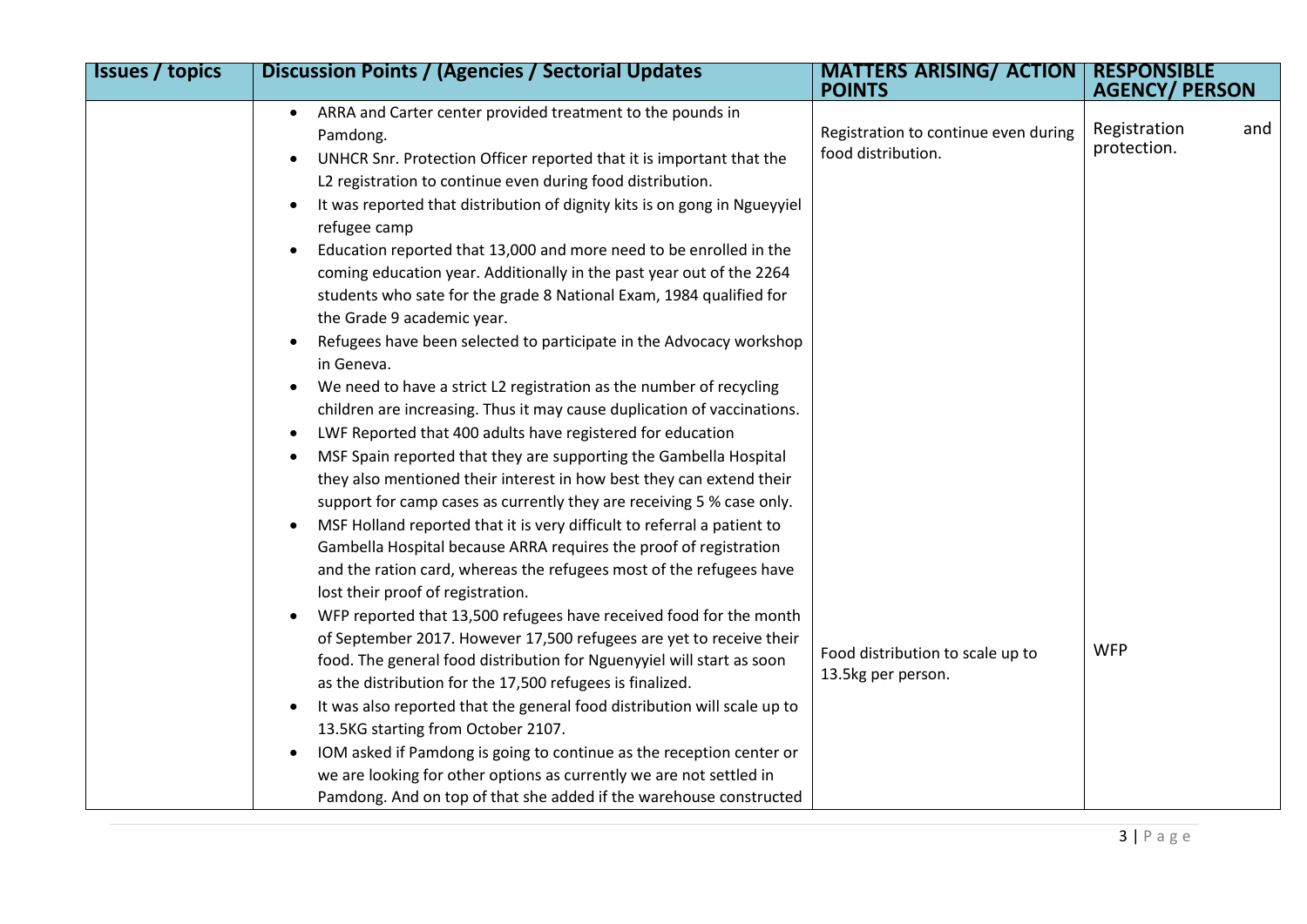| <b>Issues / topics</b> | <b>Discussion Points / (Agencies / Sectorial Updates</b>                                                                                                                                                                                                                                                                                                                                                                                                                                                                                                                                                                                                                                                                                                                                                                                                                                                                                                                                                                                                                                                                                                                                                                                                                                                                                                                                                                                                                                                                                | <b>MATTERS ARISING/ ACTION</b><br><b>POINTS</b>                                                | <b>RESPONSIBLE</b><br><b>AGENCY/ PERSON</b>      |
|------------------------|-----------------------------------------------------------------------------------------------------------------------------------------------------------------------------------------------------------------------------------------------------------------------------------------------------------------------------------------------------------------------------------------------------------------------------------------------------------------------------------------------------------------------------------------------------------------------------------------------------------------------------------------------------------------------------------------------------------------------------------------------------------------------------------------------------------------------------------------------------------------------------------------------------------------------------------------------------------------------------------------------------------------------------------------------------------------------------------------------------------------------------------------------------------------------------------------------------------------------------------------------------------------------------------------------------------------------------------------------------------------------------------------------------------------------------------------------------------------------------------------------------------------------------------------|------------------------------------------------------------------------------------------------|--------------------------------------------------|
|                        | ARRA and Carter center provided treatment to the pounds in<br>Pamdong.<br>UNHCR Snr. Protection Officer reported that it is important that the<br>L2 registration to continue even during food distribution.<br>It was reported that distribution of dignity kits is on gong in Ngueyyiel<br>refugee camp<br>Education reported that 13,000 and more need to be enrolled in the<br>coming education year. Additionally in the past year out of the 2264<br>students who sate for the grade 8 National Exam, 1984 qualified for<br>the Grade 9 academic year.<br>Refugees have been selected to participate in the Advocacy workshop<br>in Geneva.<br>We need to have a strict L2 registration as the number of recycling<br>$\bullet$<br>children are increasing. Thus it may cause duplication of vaccinations.<br>LWF Reported that 400 adults have registered for education<br>$\bullet$<br>MSF Spain reported that they are supporting the Gambella Hospital<br>they also mentioned their interest in how best they can extend their<br>support for camp cases as currently they are receiving 5 % case only.<br>MSF Holland reported that it is very difficult to referral a patient to<br>Gambella Hospital because ARRA requires the proof of registration<br>and the ration card, whereas the refugees most of the refugees have<br>lost their proof of registration.<br>WFP reported that 13,500 refugees have received food for the month<br>$\bullet$<br>of September 2017. However 17,500 refugees are yet to receive their | Registration to continue even during<br>food distribution.<br>Food distribution to scale up to | Registration<br>and<br>protection.<br><b>WFP</b> |
|                        | food. The general food distribution for Nguenyyiel will start as soon<br>as the distribution for the 17,500 refugees is finalized.<br>It was also reported that the general food distribution will scale up to                                                                                                                                                                                                                                                                                                                                                                                                                                                                                                                                                                                                                                                                                                                                                                                                                                                                                                                                                                                                                                                                                                                                                                                                                                                                                                                          | 13.5kg per person.                                                                             |                                                  |
|                        | 13.5KG starting from October 2107.<br>IOM asked if Pamdong is going to continue as the reception center or<br>we are looking for other options as currently we are not settled in<br>Pamdong. And on top of that she added if the warehouse constructed                                                                                                                                                                                                                                                                                                                                                                                                                                                                                                                                                                                                                                                                                                                                                                                                                                                                                                                                                                                                                                                                                                                                                                                                                                                                                 |                                                                                                |                                                  |